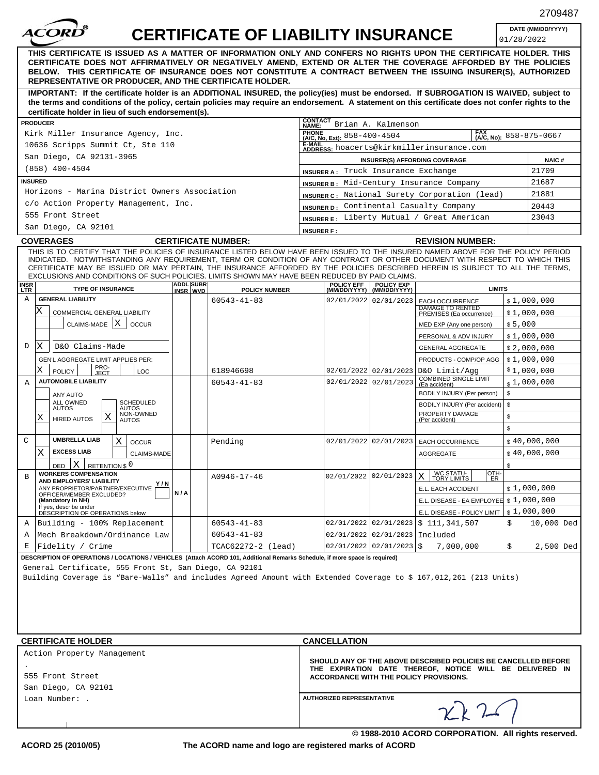| <b>CERTIFICATE OF LIABILITY INSURANCE</b>                                                                                                                                                                                                                                                                                                                                                                                                                                |                                                |                                                                                                                                                                      |                                                           | DATE (MM/DD/YYYY)<br>01/28/2022 |           |
|--------------------------------------------------------------------------------------------------------------------------------------------------------------------------------------------------------------------------------------------------------------------------------------------------------------------------------------------------------------------------------------------------------------------------------------------------------------------------|------------------------------------------------|----------------------------------------------------------------------------------------------------------------------------------------------------------------------|-----------------------------------------------------------|---------------------------------|-----------|
| THIS CERTIFICATE IS ISSUED AS A MATTER OF INFORMATION ONLY AND CONFERS NO RIGHTS UPON THE CERTIFICATE HOLDER. THIS<br>CERTIFICATE DOES NOT AFFIRMATIVELY OR NEGATIVELY AMEND, EXTEND OR ALTER THE COVERAGE AFFORDED BY THE POLICIES<br>BELOW. THIS CERTIFICATE OF INSURANCE DOES NOT CONSTITUTE A CONTRACT BETWEEN THE ISSUING INSURER(S), AUTHORIZED<br>REPRESENTATIVE OR PRODUCER, AND THE CERTIFICATE HOLDER.                                                         |                                                |                                                                                                                                                                      |                                                           |                                 |           |
| IMPORTANT: If the certificate holder is an ADDITIONAL INSURED, the policy(ies) must be endorsed. If SUBROGATION IS WAIVED, subject to<br>the terms and conditions of the policy, certain policies may require an endorsement. A statement on this certificate does not confer rights to the<br>certificate holder in lieu of such endorsement(s).                                                                                                                        |                                                |                                                                                                                                                                      |                                                           |                                 |           |
| <b>PRODUCER</b>                                                                                                                                                                                                                                                                                                                                                                                                                                                          | <b>CONTACT</b><br>NAME:                        | Brian A. Kalmenson                                                                                                                                                   |                                                           |                                 |           |
| Kirk Miller Insurance Agency, Inc.                                                                                                                                                                                                                                                                                                                                                                                                                                       | <b>PHONE</b><br>$(A/C, No, Ext):$ 858-400-4504 |                                                                                                                                                                      | <b>FAX</b>                                                | $(A/C, No):$ 858-875-0667       |           |
| 10636 Scripps Summit Ct, Ste 110                                                                                                                                                                                                                                                                                                                                                                                                                                         |                                                |                                                                                                                                                                      | E-MAIL<br>ADDRESS: hoacerts@kirkmillerinsurance.com       |                                 |           |
| San Diego, CA 92131-3965                                                                                                                                                                                                                                                                                                                                                                                                                                                 |                                                | <b>INSURER(S) AFFORDING COVERAGE</b>                                                                                                                                 |                                                           |                                 |           |
| $(858)$ 400-4504                                                                                                                                                                                                                                                                                                                                                                                                                                                         |                                                | <b>INSURER A:</b> Truck Insurance Exchange                                                                                                                           |                                                           |                                 |           |
| <b>INSURED</b>                                                                                                                                                                                                                                                                                                                                                                                                                                                           |                                                | INSURER B: Mid-Century Insurance Company                                                                                                                             |                                                           |                                 |           |
| Horizons - Marina District Owners Association                                                                                                                                                                                                                                                                                                                                                                                                                            |                                                | INSURER C: National Surety Corporation (lead)                                                                                                                        |                                                           |                                 |           |
| c/o Action Property Management, Inc.                                                                                                                                                                                                                                                                                                                                                                                                                                     |                                                | INSURER D: Continental Casualty Company                                                                                                                              |                                                           |                                 |           |
| 555 Front Street                                                                                                                                                                                                                                                                                                                                                                                                                                                         |                                                | <b>INSURER E</b> : Liberty Mutual / Great American<br>23043                                                                                                          |                                                           |                                 |           |
| San Diego, CA 92101                                                                                                                                                                                                                                                                                                                                                                                                                                                      | <b>INSURER F:</b>                              |                                                                                                                                                                      |                                                           |                                 |           |
| <b>COVERAGES</b><br><b>CERTIFICATE NUMBER:</b>                                                                                                                                                                                                                                                                                                                                                                                                                           |                                                |                                                                                                                                                                      | <b>REVISION NUMBER:</b>                                   |                                 |           |
| INDICATED. NOTWITHSTANDING ANY REQUIREMENT, TERM OR CONDITION OF ANY CONTRACT OR OTHER DOCUMENT WITH RESPECT TO WHICH THIS<br>CERTIFICATE MAY BE ISSUED OR MAY PERTAIN, THE INSURANCE AFFORDED BY THE POLICIES DESCRIBED HEREIN IS SUBJECT TO ALL THE TERMS,<br>EXCLUSIONS AND CONDITIONS OF SUCH POLICIES. LIMITS SHOWN MAY HAVE BEEN REDUCED BY PAID CLAIMS.<br><b>ADDL SUBR</b><br>INSR<br><b>TYPE OF INSURANCE</b><br><b>POLICY NUMBER</b><br><b>LTR</b><br>INSR WVD |                                                | POLICY EFF POLICY EXP<br>(MM/DD/YYYY) (MM/DD/YYYY)                                                                                                                   | <b>LIMITS</b>                                             |                                 |           |
| <b>GENERAL LIABILITY</b><br>Α<br>$60543 - 41 - 83$                                                                                                                                                                                                                                                                                                                                                                                                                       |                                                | 02/01/2022 02/01/2023                                                                                                                                                | <b>EACH OCCURRENCE</b>                                    | \$1,000,000                     |           |
| Χ<br>COMMERCIAL GENERAL LIABILITY                                                                                                                                                                                                                                                                                                                                                                                                                                        |                                                |                                                                                                                                                                      | <b>DAMAGE TO RENTED</b><br>PREMISES (Ea occurrence)       | \$1,000,000                     |           |
| X <br>CLAIMS-MADE<br><b>OCCUR</b>                                                                                                                                                                                                                                                                                                                                                                                                                                        |                                                |                                                                                                                                                                      | MED EXP (Any one person)                                  | \$5,000                         |           |
|                                                                                                                                                                                                                                                                                                                                                                                                                                                                          |                                                |                                                                                                                                                                      | PERSONAL & ADV INJURY                                     | \$1,000,000                     |           |
| x<br>D&O Claims-Made<br>D                                                                                                                                                                                                                                                                                                                                                                                                                                                |                                                |                                                                                                                                                                      | <b>GENERAL AGGREGATE</b>                                  | \$2,000,000                     |           |
| GEN'L AGGREGATE LIMIT APPLIES PER:                                                                                                                                                                                                                                                                                                                                                                                                                                       |                                                |                                                                                                                                                                      | PRODUCTS - COMP/OP AGG                                    | \$1,000,000                     |           |
| PRO-<br>JECT<br>X<br><b>POLICY</b><br>LOC<br>618946698                                                                                                                                                                                                                                                                                                                                                                                                                   |                                                |                                                                                                                                                                      | 02/01/2022 02/01/2023 D&O Limit/Agg                       | \$1,000,000                     |           |
| <b>AUTOMOBILE LIABILITY</b><br>Α<br>$60543 - 41 - 83$                                                                                                                                                                                                                                                                                                                                                                                                                    |                                                | 02/01/2022 02/01/2023                                                                                                                                                | <b>COMBINED SINGLE LIMIT</b><br>(Ea accident)             | \$1,000,000                     |           |
| ANY AUTO                                                                                                                                                                                                                                                                                                                                                                                                                                                                 |                                                |                                                                                                                                                                      | BODILY INJURY (Per person)                                | \$                              |           |
| <b>ALL OWNED</b><br><b>SCHEDULED</b><br>AUTOS<br>AUTOS                                                                                                                                                                                                                                                                                                                                                                                                                   |                                                |                                                                                                                                                                      | BODILY INJURY (Per accident)   \$                         |                                 |           |
| NON-OWNED<br>X<br>Х<br><b>HIRED AUTOS</b><br>AUTOS                                                                                                                                                                                                                                                                                                                                                                                                                       |                                                |                                                                                                                                                                      | PROPERTY DAMAGE<br>(Per accident)                         | \$                              |           |
|                                                                                                                                                                                                                                                                                                                                                                                                                                                                          |                                                |                                                                                                                                                                      |                                                           | \$                              |           |
| <b>UMBRELLA LIAB</b><br>X<br>C<br><b>OCCUR</b><br>Pending                                                                                                                                                                                                                                                                                                                                                                                                                |                                                |                                                                                                                                                                      | 02/01/2022 02/01/2023   EACH OCCURRENCE                   | \$40,000,000                    |           |
| <b>EXCESS LIAB</b><br>Х<br><b>CLAIMS-MADE</b>                                                                                                                                                                                                                                                                                                                                                                                                                            |                                                |                                                                                                                                                                      | AGGREGATE                                                 | \$40,000,000                    |           |
| $DED$ $X$<br>RETENTION \$ 0                                                                                                                                                                                                                                                                                                                                                                                                                                              |                                                |                                                                                                                                                                      |                                                           | \$                              |           |
| <b>WORKERS COMPENSATION</b><br>A0946-17-46<br>B                                                                                                                                                                                                                                                                                                                                                                                                                          |                                                | 02/01/2022 02/01/2023                                                                                                                                                | WC STATU-<br>  TORY LIMITS<br>loth-<br>$\mathsf{X}$<br>ER |                                 |           |
| AND EMPLOYERS' LIABILITY<br>Y/N<br>ANY PROPRIETOR/PARTNER/EXECUTIVE                                                                                                                                                                                                                                                                                                                                                                                                      |                                                |                                                                                                                                                                      | E.L. EACH ACCIDENT                                        | \$1,000,000                     |           |
| N/A<br>OFFICER/MEMBER EXCLUDED?<br>(Mandatory in NH)                                                                                                                                                                                                                                                                                                                                                                                                                     |                                                |                                                                                                                                                                      | E.L. DISEASE - EA EMPLOYEE   \$ 1,000,000                 |                                 |           |
| If yes, describe under<br>DESCRIPTION OF OPERATIONS below                                                                                                                                                                                                                                                                                                                                                                                                                |                                                |                                                                                                                                                                      | E.L. DISEASE - POLICY LIMIT $\mid$ \$ $1$ , 000, 000      |                                 |           |
| $60543 - 41 - 83$<br>Building - 100% Replacement<br>A                                                                                                                                                                                                                                                                                                                                                                                                                    |                                                |                                                                                                                                                                      | 02/01/2022 02/01/2023   \$111,341,507                     | Ŝ.<br>10,000 Ded                |           |
| $60543 - 41 - 83$<br>Mech Breakdown/Ordinance Law<br>A                                                                                                                                                                                                                                                                                                                                                                                                                   |                                                | 02/01/2022 02/01/2023 Included                                                                                                                                       |                                                           |                                 |           |
| Fidelity / Crime<br>TCAC62272-2 (lead)<br>Е                                                                                                                                                                                                                                                                                                                                                                                                                              |                                                | $02/01/2022$ 02/01/2023   \$                                                                                                                                         | 7,000,000                                                 | \$                              | 2,500 Ded |
| DESCRIPTION OF OPERATIONS / LOCATIONS / VEHICLES (Attach ACORD 101, Additional Remarks Schedule, if more space is required)<br>General Certificate, 555 Front St, San Diego, CA 92101<br>Building Coverage is "Bare-Walls" and includes Agreed Amount with Extended Coverage to \$ 167,012,261 (213 Units)                                                                                                                                                               |                                                |                                                                                                                                                                      |                                                           |                                 |           |
| <b>CERTIFICATE HOLDER</b>                                                                                                                                                                                                                                                                                                                                                                                                                                                | <b>CANCELLATION</b>                            |                                                                                                                                                                      |                                                           |                                 |           |
| Action Property Management                                                                                                                                                                                                                                                                                                                                                                                                                                               |                                                | SHOULD ANY OF THE ABOVE DESCRIBED POLICIES BE CANCELLED BEFORE<br>THE EXPIRATION DATE THEREOF, NOTICE WILL BE DELIVERED IN<br>ACCORDANCE WITH THE POLICY PROVISIONS. |                                                           |                                 |           |
|                                                                                                                                                                                                                                                                                                                                                                                                                                                                          |                                                |                                                                                                                                                                      |                                                           |                                 |           |
| 555 Front Street                                                                                                                                                                                                                                                                                                                                                                                                                                                         |                                                |                                                                                                                                                                      |                                                           |                                 |           |
| San Diego, CA 92101                                                                                                                                                                                                                                                                                                                                                                                                                                                      |                                                |                                                                                                                                                                      |                                                           |                                 |           |
| Loan Number: .                                                                                                                                                                                                                                                                                                                                                                                                                                                           | <b>AUTHORIZED REPRESENTATIVE</b>               |                                                                                                                                                                      |                                                           |                                 |           |

**The ACORD name and logo are registered marks of ACORD**

**© 1988-2010 ACORD CORPORATION. All rights reserved.**